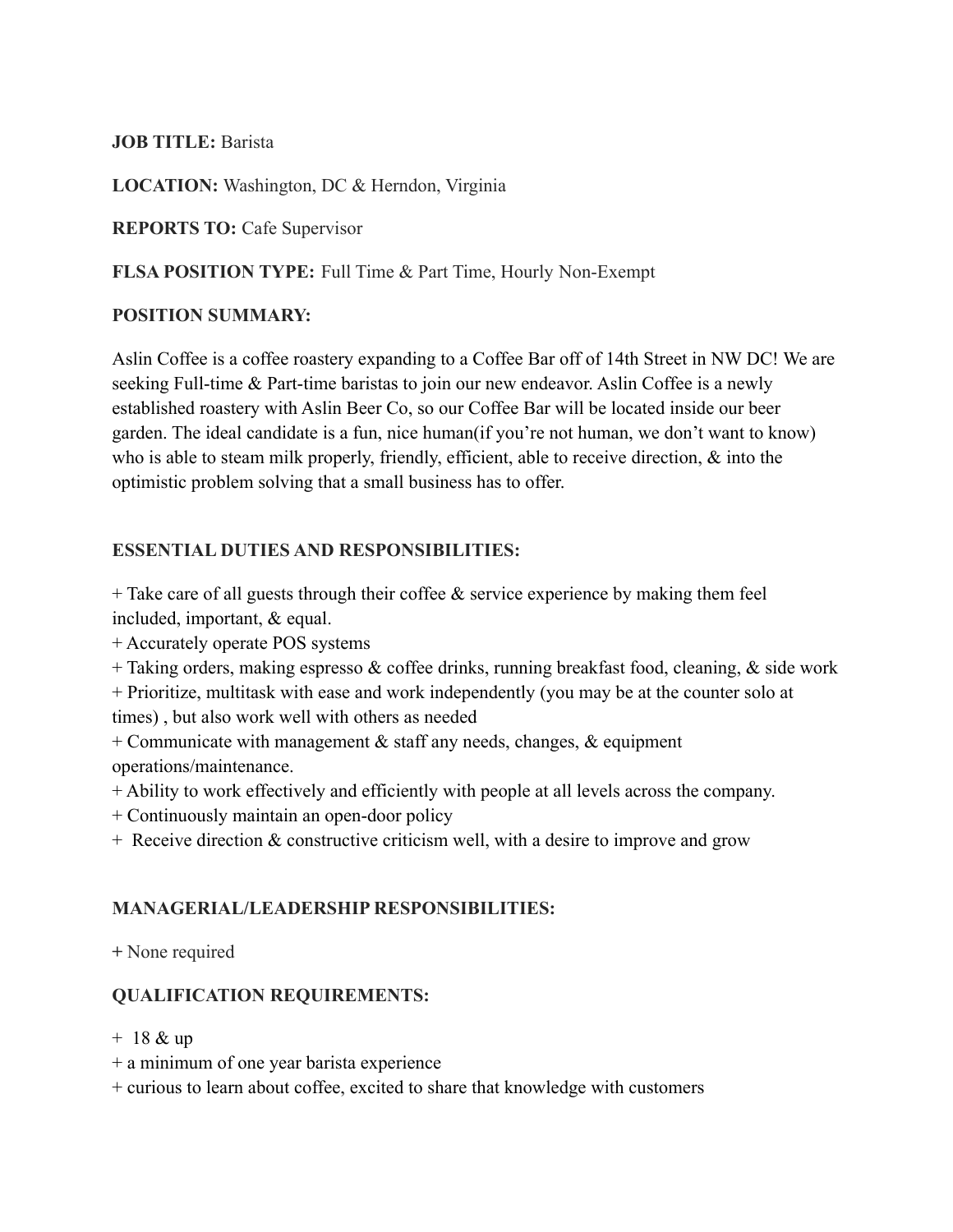## **JOB TITLE:** Barista

**LOCATION:** Washington, DC & Herndon, Virginia

**REPORTS TO:** Cafe Supervisor

#### **FLSA POSITION TYPE:** Full Time & Part Time, Hourly Non-Exempt

#### **POSITION SUMMARY:**

Aslin Coffee is a coffee roastery expanding to a Coffee Bar off of 14th Street in NW DC! We are seeking Full-time & Part-time baristas to join our new endeavor. Aslin Coffee is a newly established roastery with Aslin Beer Co, so our Coffee Bar will be located inside our beer garden. The ideal candidate is a fun, nice human(if you're not human, we don't want to know) who is able to steam milk properly, friendly, efficient, able to receive direction,  $\&$  into the optimistic problem solving that a small business has to offer.

## **ESSENTIAL DUTIES AND RESPONSIBILITIES:**

 $+$  Take care of all guests through their coffee  $\&$  service experience by making them feel included, important, & equal.

+ Accurately operate POS systems

+ Taking orders, making espresso & coffee drinks, running breakfast food, cleaning, & side work

+ Prioritize, multitask with ease and work independently (you may be at the counter solo at

times) , but also work well with others as needed

+ Communicate with management  $\&$  staff any needs, changes,  $\&$  equipment operations/maintenance.

- + Ability to work effectively and efficiently with people at all levels across the company.
- + Continuously maintain an open-door policy
- + Receive direction & constructive criticism well, with a desire to improve and grow

#### **MANAGERIAL/LEADERSHIP RESPONSIBILITIES:**

**+** None required

## **QUALIFICATION REQUIREMENTS:**

+ 18 & up

+ a minimum of one year barista experience

+ curious to learn about coffee, excited to share that knowledge with customers